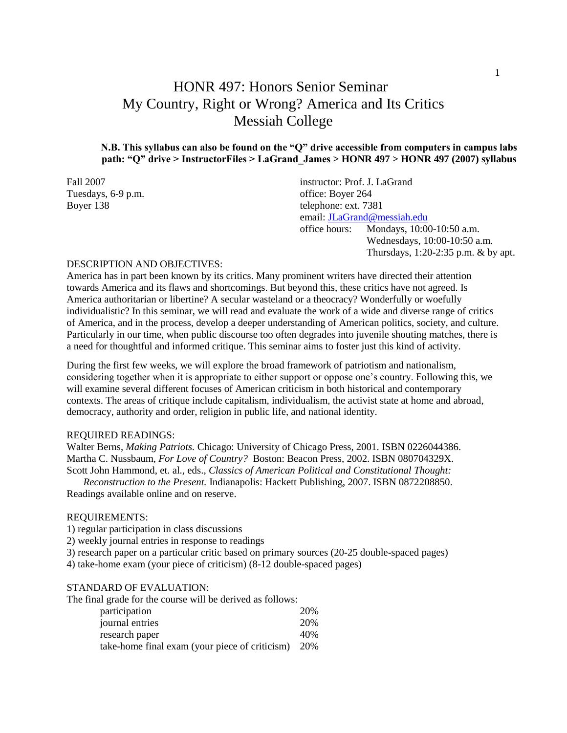# HONR 497: Honors Senior Seminar My Country, Right or Wrong? America and Its Critics Messiah College

### **N.B. This syllabus can also be found on the "Q" drive accessible from computers in campus labs path: "Q" drive > InstructorFiles > LaGrand\_James > HONR 497 > HONR 497 (2007) syllabus**

| instructor: Prof. J. LaGrand                        |  |  |                                            |
|-----------------------------------------------------|--|--|--------------------------------------------|
| office: Boyer 264                                   |  |  |                                            |
| telephone: ext. 7381<br>email: JLaGrand@messiah.edu |  |  |                                            |
|                                                     |  |  | Mondays, 10:00-10:50 a.m.<br>office hours: |
| Wednesdays, 10:00-10:50 a.m.                        |  |  |                                            |
| Thursdays, $1:20-2:35$ p.m. & by apt.               |  |  |                                            |
|                                                     |  |  |                                            |

#### DESCRIPTION AND OBJECTIVES:

America has in part been known by its critics. Many prominent writers have directed their attention towards America and its flaws and shortcomings. But beyond this, these critics have not agreed. Is America authoritarian or libertine? A secular wasteland or a theocracy? Wonderfully or woefully individualistic? In this seminar, we will read and evaluate the work of a wide and diverse range of critics of America, and in the process, develop a deeper understanding of American politics, society, and culture. Particularly in our time, when public discourse too often degrades into juvenile shouting matches, there is a need for thoughtful and informed critique. This seminar aims to foster just this kind of activity.

During the first few weeks, we will explore the broad framework of patriotism and nationalism, considering together when it is appropriate to either support or oppose one's country. Following this, we will examine several different focuses of American criticism in both historical and contemporary contexts. The areas of critique include capitalism, individualism, the activist state at home and abroad, democracy, authority and order, religion in public life, and national identity.

#### REQUIRED READINGS:

Walter Berns, *Making Patriots.* Chicago: University of Chicago Press, 2001. ISBN 0226044386. Martha C. Nussbaum, *For Love of Country?* Boston: Beacon Press, 2002. ISBN 080704329X. Scott John Hammond, et. al., eds., *Classics of American Political and Constitutional Thought:* 

*Reconstruction to the Present.* Indianapolis: Hackett Publishing, 2007. ISBN 0872208850. Readings available online and on reserve.

#### REQUIREMENTS:

1) regular participation in class discussions

2) weekly journal entries in response to readings

3) research paper on a particular critic based on primary sources (20-25 double-spaced pages)

4) take-home exam (your piece of criticism) (8-12 double-spaced pages)

#### STANDARD OF EVALUATION:

The final grade for the course will be derived as follows:

| participation                                  | 20%   |
|------------------------------------------------|-------|
| journal entries                                | 20%   |
| research paper                                 | 40%   |
| take-home final exam (your piece of criticism) | - 20% |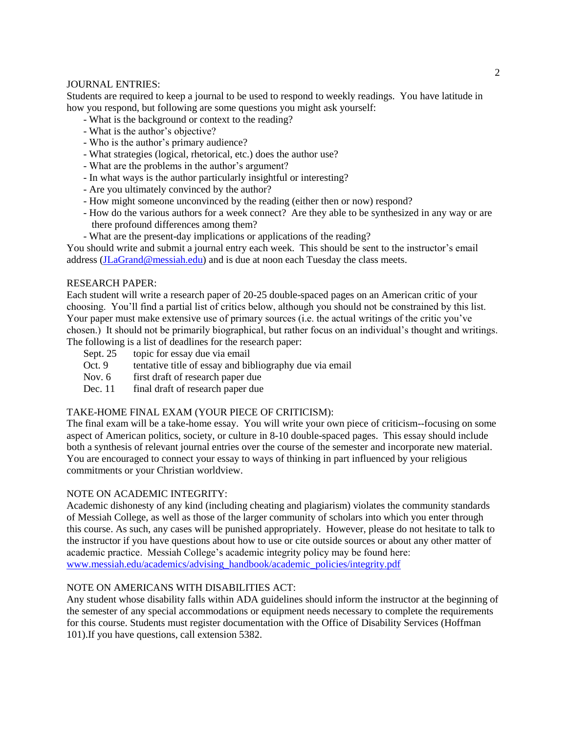### JOURNAL ENTRIES:

Students are required to keep a journal to be used to respond to weekly readings. You have latitude in how you respond, but following are some questions you might ask yourself:

- What is the background or context to the reading?
- What is the author's objective?
- Who is the author's primary audience?
- What strategies (logical, rhetorical, etc.) does the author use?
- What are the problems in the author's argument?
- In what ways is the author particularly insightful or interesting?
- Are you ultimately convinced by the author?
- How might someone unconvinced by the reading (either then or now) respond?
- How do the various authors for a week connect? Are they able to be synthesized in any way or are there profound differences among them?
- What are the present-day implications or applications of the reading?

You should write and submit a journal entry each week. This should be sent to the instructor's email address [\(JLaGrand@messiah.edu\)](mailto:JLaGrand@messiah.edu) and is due at noon each Tuesday the class meets.

### RESEARCH PAPER:

Each student will write a research paper of 20-25 double-spaced pages on an American critic of your choosing. You'll find a partial list of critics below, although you should not be constrained by this list. Your paper must make extensive use of primary sources (i.e. the actual writings of the critic you've chosen.) It should not be primarily biographical, but rather focus on an individual's thought and writings. The following is a list of deadlines for the research paper:<br>Sept. 25 topic for essay due via email

- topic for essay due via email
- Oct. 9 tentative title of essay and bibliography due via email
- Nov. 6 first draft of research paper due
- Dec. 11 final draft of research paper due

### TAKE-HOME FINAL EXAM (YOUR PIECE OF CRITICISM):

The final exam will be a take-home essay. You will write your own piece of criticism--focusing on some aspect of American politics, society, or culture in 8-10 double-spaced pages. This essay should include both a synthesis of relevant journal entries over the course of the semester and incorporate new material. You are encouraged to connect your essay to ways of thinking in part influenced by your religious commitments or your Christian worldview.

### NOTE ON ACADEMIC INTEGRITY:

Academic dishonesty of any kind (including cheating and plagiarism) violates the community standards of Messiah College, as well as those of the larger community of scholars into which you enter through this course. As such, any cases will be punished appropriately. However, please do not hesitate to talk to the instructor if you have questions about how to use or cite outside sources or about any other matter of academic practice. Messiah College's academic integrity policy may be found here: [www.messiah.edu/academics/advising\\_handbook/academic\\_policies/integrity.pdf](http://www.messiah.edu/academics/advising_handbook/academic_policies/integrity.pdf)

### NOTE ON AMERICANS WITH DISABILITIES ACT:

Any student whose disability falls within ADA guidelines should inform the instructor at the beginning of the semester of any special accommodations or equipment needs necessary to complete the requirements for this course. Students must register documentation with the Office of Disability Services (Hoffman 101).If you have questions, call extension 5382.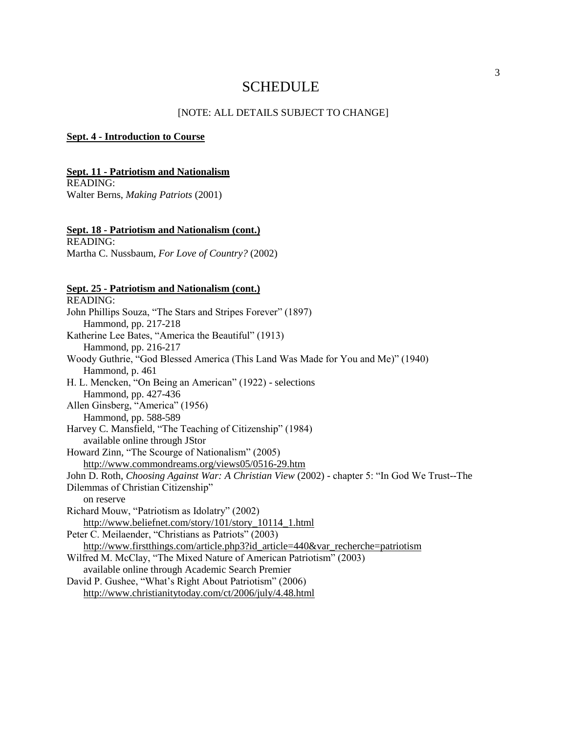## SCHEDULE

#### [NOTE: ALL DETAILS SUBJECT TO CHANGE]

#### **Sept. 4 - Introduction to Course**

### **Sept. 11 - Patriotism and Nationalism**

READING: Walter Berns, *Making Patriots* (2001)

#### **Sept. 18 - Patriotism and Nationalism (cont.)**

READING: Martha C. Nussbaum, *For Love of Country?* (2002)

### **Sept. 25 - Patriotism and Nationalism (cont.)**

READING: John Phillips Souza, "The Stars and Stripes Forever" (1897) Hammond, pp. 217-218 Katherine Lee Bates, "America the Beautiful" (1913) Hammond, pp. 216-217 Woody Guthrie, "God Blessed America (This Land Was Made for You and Me)" (1940) Hammond, p. 461 H. L. Mencken, "On Being an American" (1922) - selections Hammond, pp. 427-436 Allen Ginsberg, "America" (1956) Hammond, pp. 588-589 Harvey C. Mansfield, "The Teaching of Citizenship" (1984) available online through JStor Howard Zinn, "The Scourge of Nationalism" (2005) <http://www.commondreams.org/views05/0516-29.htm> John D. Roth, *Choosing Against War: A Christian View* (2002) - chapter 5: "In God We Trust--The Dilemmas of Christian Citizenship" on reserve Richard Mouw, "Patriotism as Idolatry" (2002) [http://www.beliefnet.com/story/101/story\\_10114\\_1.html](http://www.beliefnet.com/story/101/story_10114_1.html) Peter C. Meilaender, "Christians as Patriots" (2003) [http://www.firstthings.com/article.php3?id\\_article=440&var\\_recherche=patriotism](http://www.firstthings.com/article.php3?id_article=440&var_recherche=patriotism) Wilfred M. McClay, "The Mixed Nature of American Patriotism" (2003) available online through Academic Search Premier David P. Gushee, "What's Right About Patriotism" (2006) <http://www.christianitytoday.com/ct/2006/july/4.48.html>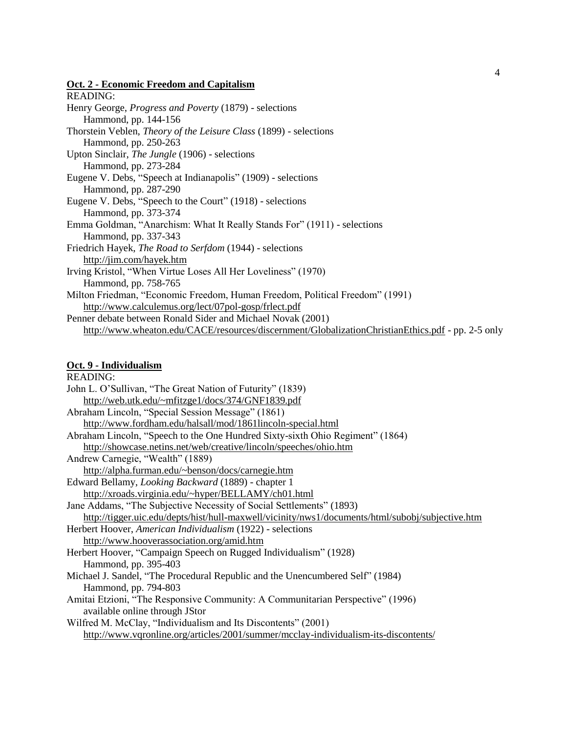### **Oct. 2 - Economic Freedom and Capitalism**

| READING:                                                                                          |
|---------------------------------------------------------------------------------------------------|
| Henry George, <i>Progress and Poverty</i> (1879) - selections                                     |
| Hammond, pp. 144-156                                                                              |
| Thorstein Veblen, <i>Theory of the Leisure Class</i> (1899) - selections                          |
| Hammond, pp. 250-263                                                                              |
| Upton Sinclair, <i>The Jungle</i> (1906) - selections                                             |
| Hammond, pp. 273-284                                                                              |
| Eugene V. Debs, "Speech at Indianapolis" (1909) - selections                                      |
| Hammond, pp. 287-290                                                                              |
| Eugene V. Debs, "Speech to the Court" (1918) - selections                                         |
| Hammond, pp. 373-374                                                                              |
| Emma Goldman, "Anarchism: What It Really Stands For" (1911) - selections                          |
| Hammond, pp. 337-343                                                                              |
| Friedrich Hayek, <i>The Road to Serfdom</i> (1944) - selections                                   |
| http://jim.com/hayek.htm                                                                          |
| Irving Kristol, "When Virtue Loses All Her Loveliness" (1970)                                     |
| Hammond, pp. 758-765                                                                              |
| Milton Friedman, "Economic Freedom, Human Freedom, Political Freedom" (1991)                      |
| http://www.calculemus.org/lect/07pol-gosp/frlect.pdf                                              |
| Penner debate between Ronald Sider and Michael Novak (2001)                                       |
| http://www.wheaton.edu/CACE/resources/discernment/GlobalizationChristianEthics.pdf - pp. 2-5 only |
|                                                                                                   |

### **Oct. 9 - Individualism**

| <b>READING:</b>                                                                                  |
|--------------------------------------------------------------------------------------------------|
| John L. O'Sullivan, "The Great Nation of Futurity" (1839)                                        |
| http://web.utk.edu/~mfitzge1/docs/374/GNF1839.pdf                                                |
| Abraham Lincoln, "Special Session Message" (1861)                                                |
| http://www.fordham.edu/halsall/mod/1861lincoln-special.html                                      |
| Abraham Lincoln, "Speech to the One Hundred Sixty-sixth Ohio Regiment" (1864)                    |
| http://showcase.netins.net/web/creative/lincoln/speeches/ohio.htm                                |
| Andrew Carnegie, "Wealth" (1889)                                                                 |
| http://alpha.furman.edu/~benson/docs/carnegie.htm                                                |
| Edward Bellamy, Looking Backward (1889) - chapter 1                                              |
| http://xroads.virginia.edu/~hyper/BELLAMY/ch01.html                                              |
| Jane Addams, "The Subjective Necessity of Social Settlements" (1893)                             |
| http://tigger.uic.edu/depts/hist/hull-maxwell/vicinity/nws1/documents/html/subobj/subjective.htm |
| Herbert Hoover, American Individualism (1922) - selections                                       |
| http://www.hooverassociation.org/amid.htm                                                        |
| Herbert Hoover, "Campaign Speech on Rugged Individualism" (1928)                                 |
| Hammond, pp. 395-403                                                                             |
| Michael J. Sandel, "The Procedural Republic and the Unencumbered Self" (1984)                    |
| Hammond, pp. 794-803                                                                             |
| Amitai Etzioni, "The Responsive Community: A Communitarian Perspective" (1996)                   |
| available online through JStor                                                                   |
| Wilfred M. McClay, "Individualism and Its Discontents" (2001)                                    |
| http://www.vqronline.org/articles/2001/summer/mcclay-individualism-its-discontents/              |
|                                                                                                  |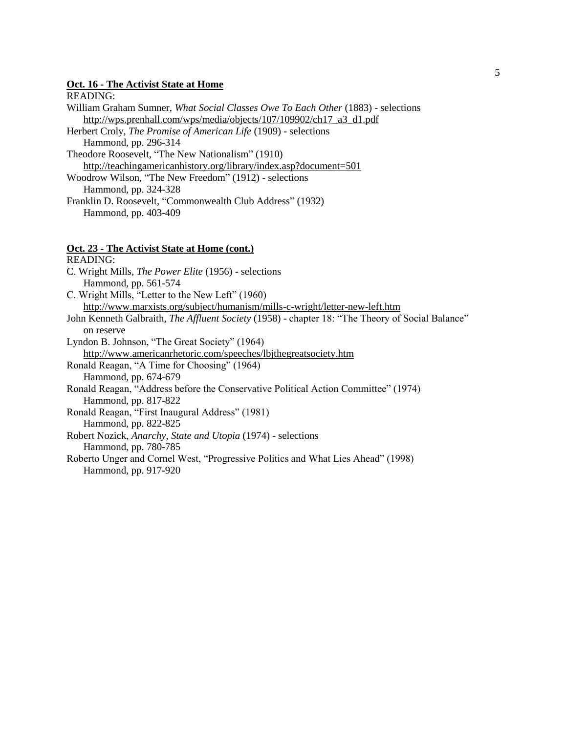#### **Oct. 16 - The Activist State at Home**

#### READING:

- William Graham Sumner, *What Social Classes Owe To Each Other* (1883) selections [http://wps.prenhall.com/wps/media/objects/107/109902/ch17\\_a3\\_d1.pdf](http://wps.prenhall.com/wps/media/objects/107/109902/ch17_a3_d1.pdf)
- Herbert Croly, *The Promise of American Life* (1909) selections Hammond, pp. 296-314
- Theodore Roosevelt, "The New Nationalism" (1910) <http://teachingamericanhistory.org/library/index.asp?document=501>
- Woodrow Wilson, "The New Freedom" (1912) selections
	- Hammond, pp. 324-328
- Franklin D. Roosevelt, "Commonwealth Club Address" (1932) Hammond, pp. 403-409

### **Oct. 23 - The Activist State at Home (cont.)**

READING: C. Wright Mills, *The Power Elite* (1956) - selections Hammond, pp. 561-574 C. Wright Mills, "Letter to the New Left" (1960) <http://www.marxists.org/subject/humanism/mills-c-wright/letter-new-left.htm> John Kenneth Galbraith, *The Affluent Society* (1958) - chapter 18: "The Theory of Social Balance" on reserve Lyndon B. Johnson, "The Great Society" (1964) <http://www.americanrhetoric.com/speeches/lbjthegreatsociety.htm> Ronald Reagan, "A Time for Choosing" (1964) Hammond, pp. 674-679 Ronald Reagan, "Address before the Conservative Political Action Committee" (1974) Hammond, pp. 817-822 Ronald Reagan, "First Inaugural Address" (1981) Hammond, pp. 822-825 Robert Nozick, *Anarchy, State and Utopia* (1974) - selections Hammond, pp. 780-785 Roberto Unger and Cornel West, "Progressive Politics and What Lies Ahead" (1998) Hammond, pp. 917-920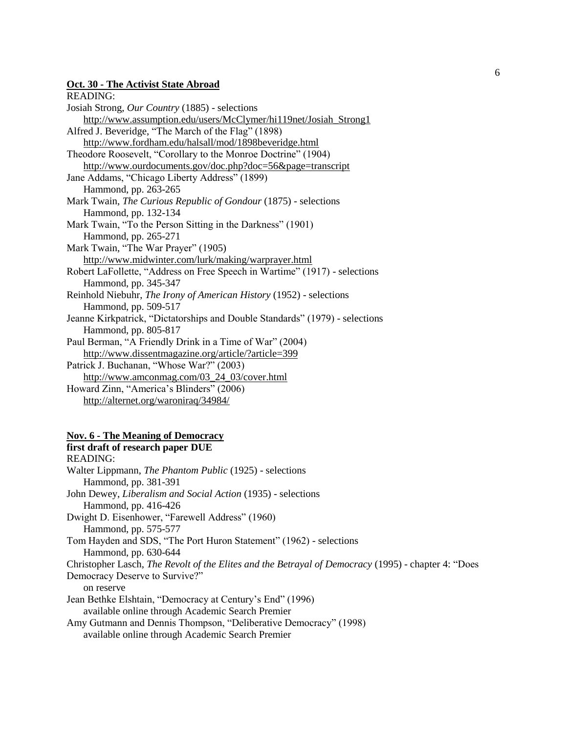#### **Oct. 30 - The Activist State Abroad**

| READING:                                                                     |
|------------------------------------------------------------------------------|
| Josiah Strong, Our Country (1885) - selections                               |
| http://www.assumption.edu/users/McClymer/hi119net/Josiah Strong1             |
| Alfred J. Beveridge, "The March of the Flag" (1898)                          |
| http://www.fordham.edu/halsall/mod/1898beveridge.html                        |
| Theodore Roosevelt, "Corollary to the Monroe Doctrine" (1904)                |
| http://www.ourdocuments.gov/doc.php?doc=56&page=transcript                   |
| Jane Addams, "Chicago Liberty Address" (1899)                                |
| Hammond, pp. 263-265                                                         |
| Mark Twain, The Curious Republic of Gondour (1875) - selections              |
| Hammond, pp. 132-134                                                         |
| Mark Twain, "To the Person Sitting in the Darkness" (1901)                   |
| Hammond, pp. 265-271                                                         |
| Mark Twain, "The War Prayer" (1905)                                          |
| http://www.midwinter.com/lurk/making/warprayer.html                          |
| Robert LaFollette, "Address on Free Speech in Wartime" (1917) - selections   |
| Hammond, pp. 345-347                                                         |
| Reinhold Niebuhr, The Irony of American History (1952) - selections          |
| Hammond, pp. 509-517                                                         |
| Jeanne Kirkpatrick, "Dictatorships and Double Standards" (1979) - selections |
| Hammond, pp. 805-817                                                         |
| Paul Berman, "A Friendly Drink in a Time of War" (2004)                      |
| http://www.dissentmagazine.org/article/?article=399                          |
| Patrick J. Buchanan, "Whose War?" (2003)                                     |
| http://www.amconmag.com/03_24_03/cover.html                                  |
| Howard Zinn, "America's Blinders" (2006)                                     |
| http://alternet.org/waroniraq/34984/                                         |
|                                                                              |

#### **Nov. 6 - The Meaning of Democracy**

### **first draft of research paper DUE**

### READING: Walter Lippmann, *The Phantom Public* (1925) - selections Hammond, pp. 381-391 John Dewey, *Liberalism and Social Action* (1935) - selections Hammond, pp. 416-426 Dwight D. Eisenhower, "Farewell Address" (1960) Hammond, pp. 575-577 Tom Hayden and SDS, "The Port Huron Statement" (1962) - selections Hammond, pp. 630-644 Christopher Lasch, *The Revolt of the Elites and the Betrayal of Democracy* (1995) - chapter 4: "Does Democracy Deserve to Survive?" on reserve Jean Bethke Elshtain, "Democracy at Century's End" (1996) available online through Academic Search Premier Amy Gutmann and Dennis Thompson, "Deliberative Democracy" (1998) available online through Academic Search Premier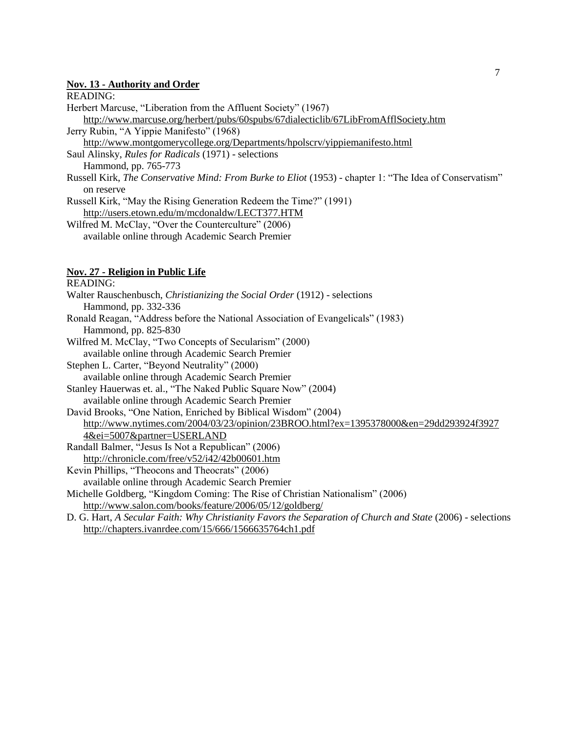#### **Nov. 13 - Authority and Order**

READING:

| Herbert Marcuse, "Liberation from the Affluent Society" (1967) |  |  |  |
|----------------------------------------------------------------|--|--|--|
|                                                                |  |  |  |

<http://www.marcuse.org/herbert/pubs/60spubs/67dialecticlib/67LibFromAfflSociety.htm>

Jerry Rubin, "A Yippie Manifesto" (1968)

<http://www.montgomerycollege.org/Departments/hpolscrv/yippiemanifesto.html>

Saul Alinsky, *Rules for Radicals* (1971) - selections

Hammond, pp. 765-773

Russell Kirk, *The Conservative Mind: From Burke to Eliot* (1953) - chapter 1: "The Idea of Conservatism" on reserve

Russell Kirk, "May the Rising Generation Redeem the Time?" (1991) <http://users.etown.edu/m/mcdonaldw/LECT377.HTM>

Wilfred M. McClay, "Over the Counterculture" (2006) available online through Academic Search Premier

### **Nov. 27 - Religion in Public Life**

READING: Walter Rauschenbusch, *Christianizing the Social Order* (1912) - selections Hammond, pp. 332-336 Ronald Reagan, "Address before the National Association of Evangelicals" (1983) Hammond, pp. 825-830 Wilfred M. McClay, "Two Concepts of Secularism" (2000) available online through Academic Search Premier Stephen L. Carter, "Beyond Neutrality" (2000) available online through Academic Search Premier Stanley Hauerwas et. al., "The Naked Public Square Now" (2004) available online through Academic Search Premier David Brooks, "One Nation, Enriched by Biblical Wisdom" (2004) [http://www.nytimes.com/2004/03/23/opinion/23BROO.html?ex=1395378000&en=29dd293924f3927](http://www.nytimes.com/2004/03/23/opinion/23BROO.html?ex=1395378000&en=29dd293924f39274&ei=5007&partner=USERLAND) [4&ei=5007&partner=USERLAND](http://www.nytimes.com/2004/03/23/opinion/23BROO.html?ex=1395378000&en=29dd293924f39274&ei=5007&partner=USERLAND) Randall Balmer, "Jesus Is Not a Republican" (2006) <http://chronicle.com/free/v52/i42/42b00601.htm> Kevin Phillips, "Theocons and Theocrats" (2006) available online through Academic Search Premier Michelle Goldberg, "Kingdom Coming: The Rise of Christian Nationalism" (2006) <http://www.salon.com/books/feature/2006/05/12/goldberg/> D. G. Hart, *A Secular Faith: Why Christianity Favors the Separation of Church and State* (2006) - selections <http://chapters.ivanrdee.com/15/666/1566635764ch1.pdf>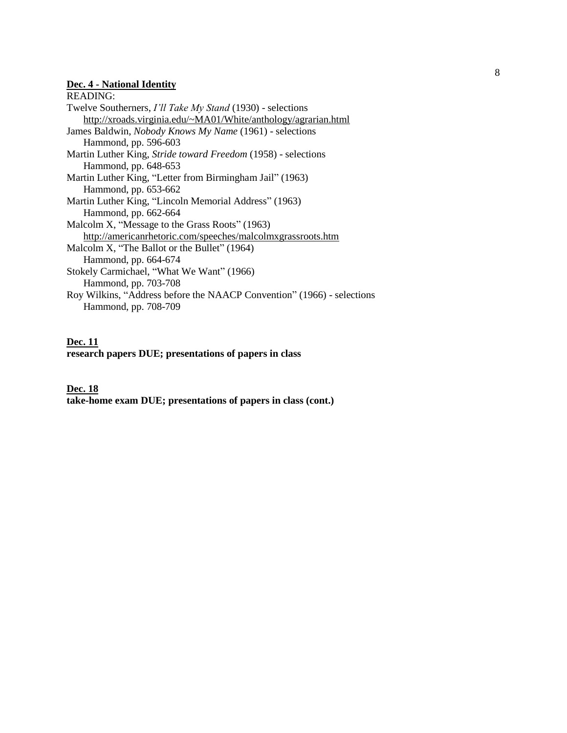#### **Dec. 4 - National Identity**

READING: Twelve Southerners, *I'll Take My Stand* (1930) - selections <http://xroads.virginia.edu/~MA01/White/anthology/agrarian.html> James Baldwin, *Nobody Knows My Name* (1961) - selections Hammond, pp. 596-603 Martin Luther King, *Stride toward Freedom* (1958) - selections Hammond, pp. 648-653 Martin Luther King, "Letter from Birmingham Jail" (1963) Hammond, pp. 653-662 Martin Luther King, "Lincoln Memorial Address" (1963) Hammond, pp. 662-664 Malcolm X, "Message to the Grass Roots" (1963) <http://americanrhetoric.com/speeches/malcolmxgrassroots.htm> Malcolm X, "The Ballot or the Bullet" (1964) Hammond, pp. 664-674 Stokely Carmichael, "What We Want" (1966) Hammond, pp. 703-708 Roy Wilkins, "Address before the NAACP Convention" (1966) - selections Hammond, pp. 708-709

### **Dec. 11 research papers DUE; presentations of papers in class**

**Dec. 18 take-home exam DUE; presentations of papers in class (cont.)**